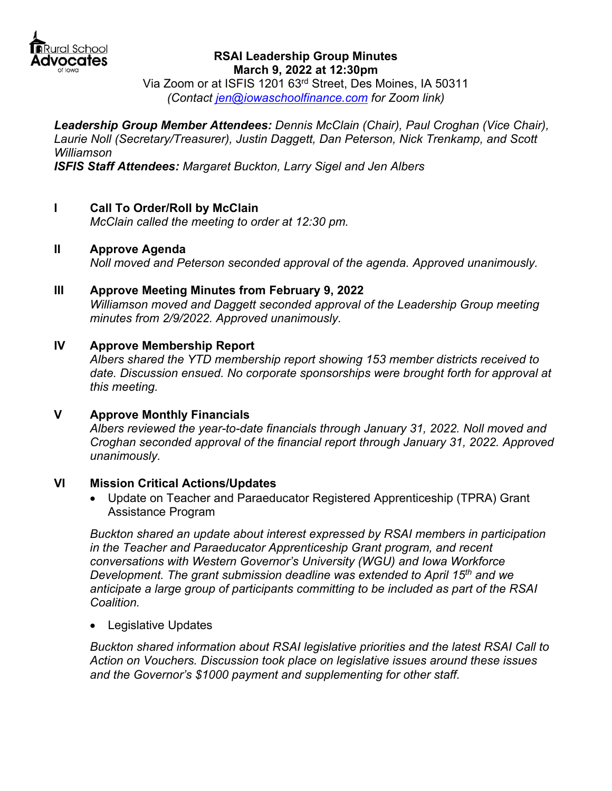

#### **RSAI Leadership Group Minutes March 9, 2022 at 12:30pm**

Via Zoom or at ISFIS 1201 63rd Street, Des Moines, IA 50311 *(Contact jen@iowaschoolfinance.com for Zoom link)* 

*Leadership Group Member Attendees: Dennis McClain (Chair), Paul Croghan (Vice Chair), Laurie Noll (Secretary/Treasurer), Justin Daggett, Dan Peterson, Nick Trenkamp, and Scott Williamson ISFIS Staff Attendees: Margaret Buckton, Larry Sigel and Jen Albers* 

- 
- **I Call To Order/Roll by McClain**

 *McClain called the meeting to order at 12:30 pm.* 

**II Approve Agenda** 

 *Noll moved and Peterson seconded approval of the agenda. Approved unanimously.* 

**III Approve Meeting Minutes from February 9, 2022**  *Williamson moved and Daggett seconded approval of the Leadership Group meeting minutes from 2/9/2022. Approved unanimously.* 

# **IV Approve Membership Report**

*Albers shared the YTD membership report showing 153 member districts received to date. Discussion ensued. No corporate sponsorships were brought forth for approval at this meeting.* 

### **V Approve Monthly Financials**

*Albers reviewed the year-to-date financials through January 31, 2022. Noll moved and Croghan seconded approval of the financial report through January 31, 2022. Approved unanimously.* 

### **VI Mission Critical Actions/Updates**

 Update on Teacher and Paraeducator Registered Apprenticeship (TPRA) Grant Assistance Program

*Buckton shared an update about interest expressed by RSAI members in participation in the Teacher and Paraeducator Apprenticeship Grant program, and recent conversations with Western Governor's University (WGU) and Iowa Workforce Development. The grant submission deadline was extended to April 15th and we anticipate a large group of participants committing to be included as part of the RSAI Coalition.*

Legislative Updates

*Buckton shared information about RSAI legislative priorities and the latest RSAI Call to Action on Vouchers. Discussion took place on legislative issues around these issues and the Governor's \$1000 payment and supplementing for other staff.*